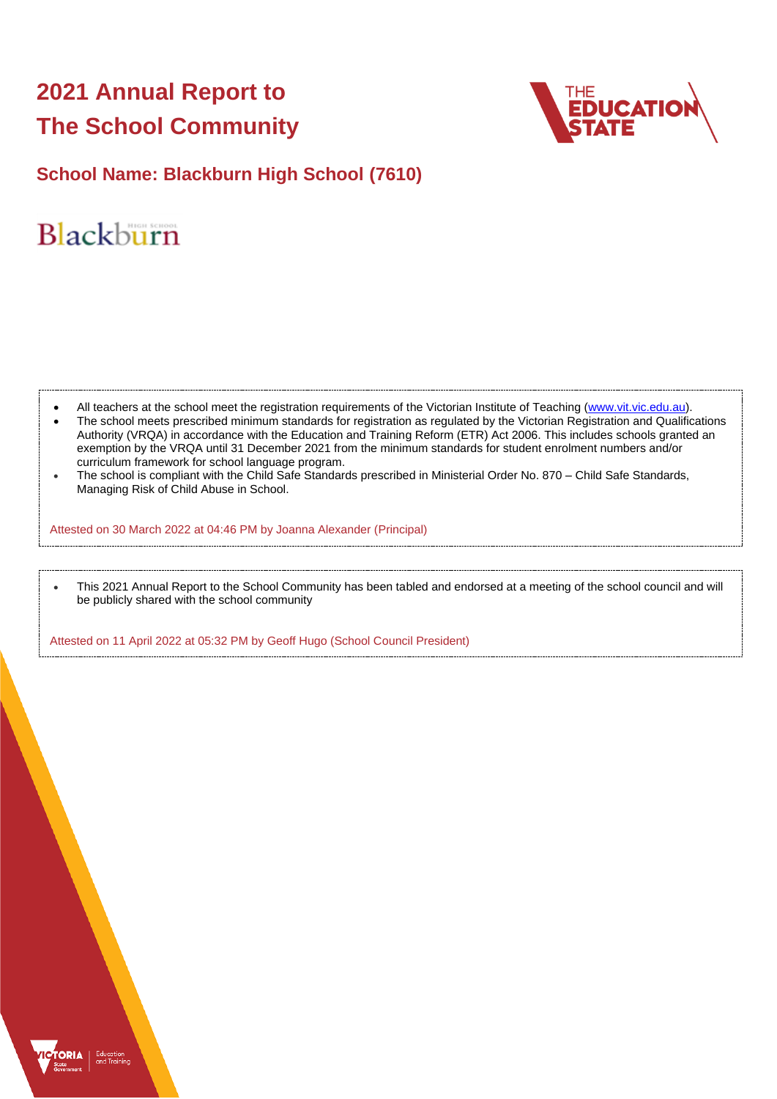# **2021 Annual Report to The School Community**



## **School Name: Blackburn High School (7610)**

# Blackburn

- All teachers at the school meet the registration requirements of the Victorian Institute of Teaching [\(www.vit.vic.edu.au\)](https://www.vit.vic.edu.au/).
- The school meets prescribed minimum standards for registration as regulated by the Victorian Registration and Qualifications Authority (VRQA) in accordance with the Education and Training Reform (ETR) Act 2006. This includes schools granted an exemption by the VRQA until 31 December 2021 from the minimum standards for student enrolment numbers and/or curriculum framework for school language program.
- The school is compliant with the Child Safe Standards prescribed in Ministerial Order No. 870 Child Safe Standards, Managing Risk of Child Abuse in School.

Attested on 30 March 2022 at 04:46 PM by Joanna Alexander (Principal)

• This 2021 Annual Report to the School Community has been tabled and endorsed at a meeting of the school council and will be publicly shared with the school community

Attested on 11 April 2022 at 05:32 PM by Geoff Hugo (School Council President)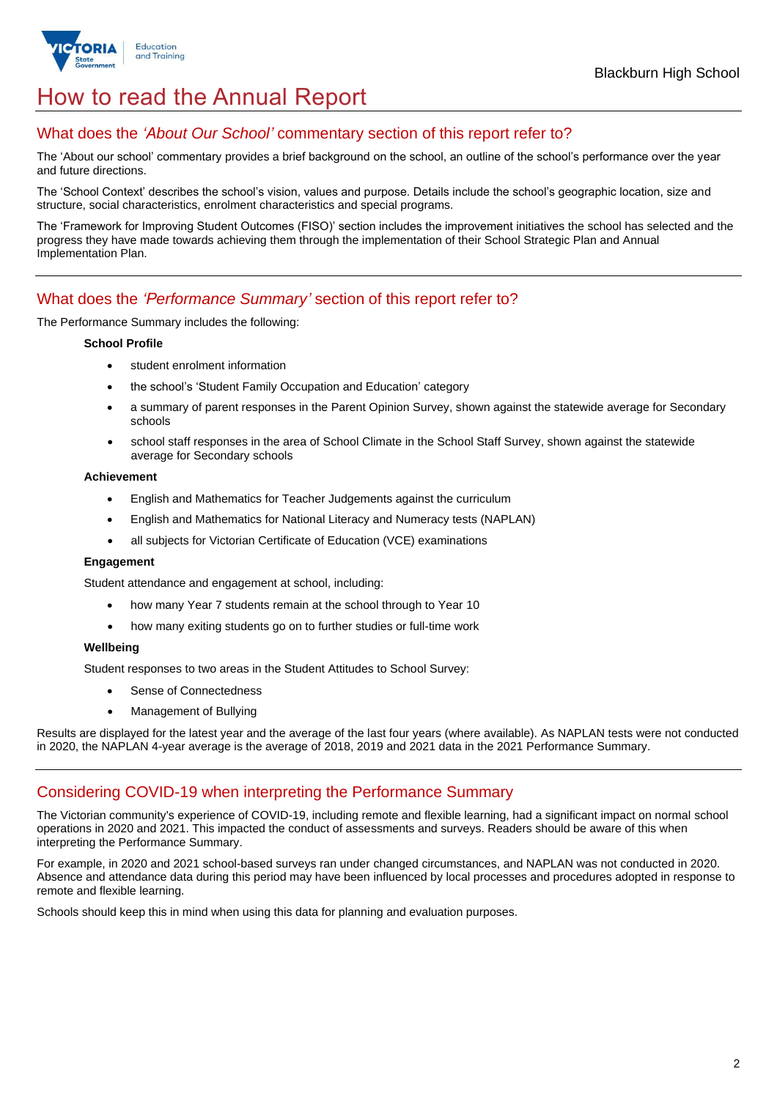

## How to read the Annual Report

## What does the *'About Our School'* commentary section of this report refer to?

The 'About our school' commentary provides a brief background on the school, an outline of the school's performance over the year and future directions.

The 'School Context' describes the school's vision, values and purpose. Details include the school's geographic location, size and structure, social characteristics, enrolment characteristics and special programs.

The 'Framework for Improving Student Outcomes (FISO)' section includes the improvement initiatives the school has selected and the progress they have made towards achieving them through the implementation of their School Strategic Plan and Annual Implementation Plan.

## What does the *'Performance Summary'* section of this report refer to?

The Performance Summary includes the following:

#### **School Profile**

- student enrolment information
- the school's 'Student Family Occupation and Education' category
- a summary of parent responses in the Parent Opinion Survey, shown against the statewide average for Secondary schools
- school staff responses in the area of School Climate in the School Staff Survey, shown against the statewide average for Secondary schools

#### **Achievement**

- English and Mathematics for Teacher Judgements against the curriculum
- English and Mathematics for National Literacy and Numeracy tests (NAPLAN)
- all subjects for Victorian Certificate of Education (VCE) examinations

#### **Engagement**

Student attendance and engagement at school, including:

- how many Year 7 students remain at the school through to Year 10
- how many exiting students go on to further studies or full-time work

#### **Wellbeing**

Student responses to two areas in the Student Attitudes to School Survey:

- Sense of Connectedness
- Management of Bullying

Results are displayed for the latest year and the average of the last four years (where available). As NAPLAN tests were not conducted in 2020, the NAPLAN 4-year average is the average of 2018, 2019 and 2021 data in the 2021 Performance Summary.

### Considering COVID-19 when interpreting the Performance Summary

The Victorian community's experience of COVID-19, including remote and flexible learning, had a significant impact on normal school operations in 2020 and 2021. This impacted the conduct of assessments and surveys. Readers should be aware of this when interpreting the Performance Summary.

For example, in 2020 and 2021 school-based surveys ran under changed circumstances, and NAPLAN was not conducted in 2020. Absence and attendance data during this period may have been influenced by local processes and procedures adopted in response to remote and flexible learning.

Schools should keep this in mind when using this data for planning and evaluation purposes.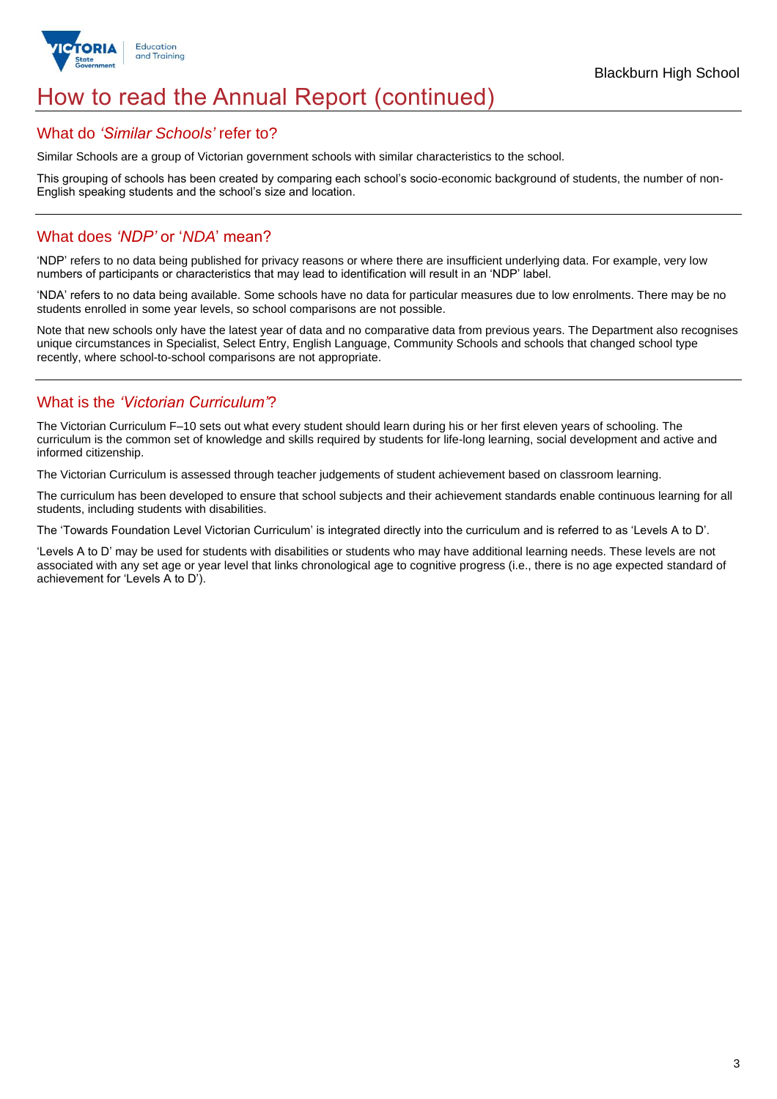

## How to read the Annual Report (continued)

#### What do *'Similar Schools'* refer to?

Similar Schools are a group of Victorian government schools with similar characteristics to the school.

This grouping of schools has been created by comparing each school's socio-economic background of students, the number of non-English speaking students and the school's size and location.

## What does *'NDP'* or '*NDA*' mean?

'NDP' refers to no data being published for privacy reasons or where there are insufficient underlying data. For example, very low numbers of participants or characteristics that may lead to identification will result in an 'NDP' label.

'NDA' refers to no data being available. Some schools have no data for particular measures due to low enrolments. There may be no students enrolled in some year levels, so school comparisons are not possible.

Note that new schools only have the latest year of data and no comparative data from previous years. The Department also recognises unique circumstances in Specialist, Select Entry, English Language, Community Schools and schools that changed school type recently, where school-to-school comparisons are not appropriate.

## What is the *'Victorian Curriculum'*?

The Victorian Curriculum F–10 sets out what every student should learn during his or her first eleven years of schooling. The curriculum is the common set of knowledge and skills required by students for life-long learning, social development and active and informed citizenship.

The Victorian Curriculum is assessed through teacher judgements of student achievement based on classroom learning.

The curriculum has been developed to ensure that school subjects and their achievement standards enable continuous learning for all students, including students with disabilities.

The 'Towards Foundation Level Victorian Curriculum' is integrated directly into the curriculum and is referred to as 'Levels A to D'.

'Levels A to D' may be used for students with disabilities or students who may have additional learning needs. These levels are not associated with any set age or year level that links chronological age to cognitive progress (i.e., there is no age expected standard of achievement for 'Levels A to D').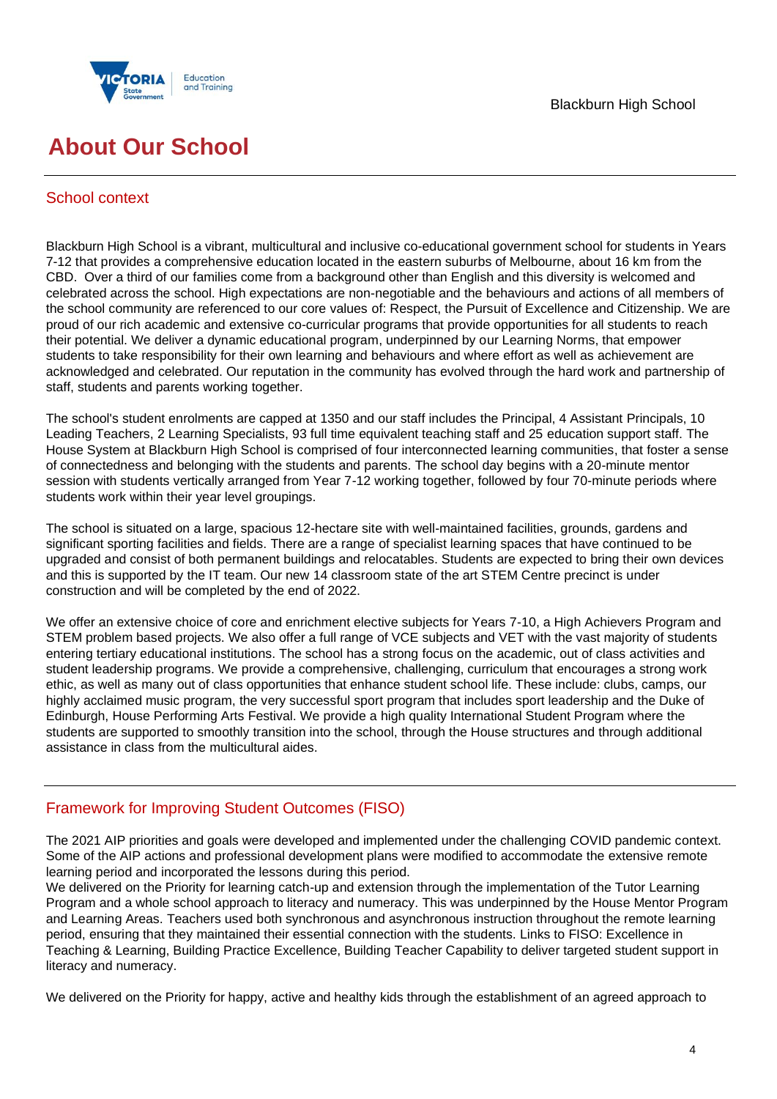

## **About Our School**

## School context

Blackburn High School is a vibrant, multicultural and inclusive co-educational government school for students in Years 7-12 that provides a comprehensive education located in the eastern suburbs of Melbourne, about 16 km from the CBD. Over a third of our families come from a background other than English and this diversity is welcomed and celebrated across the school. High expectations are non-negotiable and the behaviours and actions of all members of the school community are referenced to our core values of: Respect, the Pursuit of Excellence and Citizenship. We are proud of our rich academic and extensive co-curricular programs that provide opportunities for all students to reach their potential. We deliver a dynamic educational program, underpinned by our Learning Norms, that empower students to take responsibility for their own learning and behaviours and where effort as well as achievement are acknowledged and celebrated. Our reputation in the community has evolved through the hard work and partnership of staff, students and parents working together.

The school's student enrolments are capped at 1350 and our staff includes the Principal, 4 Assistant Principals, 10 Leading Teachers, 2 Learning Specialists, 93 full time equivalent teaching staff and 25 education support staff. The House System at Blackburn High School is comprised of four interconnected learning communities, that foster a sense of connectedness and belonging with the students and parents. The school day begins with a 20-minute mentor session with students vertically arranged from Year 7-12 working together, followed by four 70-minute periods where students work within their year level groupings.

The school is situated on a large, spacious 12-hectare site with well-maintained facilities, grounds, gardens and significant sporting facilities and fields. There are a range of specialist learning spaces that have continued to be upgraded and consist of both permanent buildings and relocatables. Students are expected to bring their own devices and this is supported by the IT team. Our new 14 classroom state of the art STEM Centre precinct is under construction and will be completed by the end of 2022.

We offer an extensive choice of core and enrichment elective subjects for Years 7-10, a High Achievers Program and STEM problem based projects. We also offer a full range of VCE subjects and VET with the vast majority of students entering tertiary educational institutions. The school has a strong focus on the academic, out of class activities and student leadership programs. We provide a comprehensive, challenging, curriculum that encourages a strong work ethic, as well as many out of class opportunities that enhance student school life. These include: clubs, camps, our highly acclaimed music program, the very successful sport program that includes sport leadership and the Duke of Edinburgh, House Performing Arts Festival. We provide a high quality International Student Program where the students are supported to smoothly transition into the school, through the House structures and through additional assistance in class from the multicultural aides.

## Framework for Improving Student Outcomes (FISO)

The 2021 AIP priorities and goals were developed and implemented under the challenging COVID pandemic context. Some of the AIP actions and professional development plans were modified to accommodate the extensive remote learning period and incorporated the lessons during this period.

We delivered on the Priority for learning catch-up and extension through the implementation of the Tutor Learning Program and a whole school approach to literacy and numeracy. This was underpinned by the House Mentor Program and Learning Areas. Teachers used both synchronous and asynchronous instruction throughout the remote learning period, ensuring that they maintained their essential connection with the students. Links to FISO: Excellence in Teaching & Learning, Building Practice Excellence, Building Teacher Capability to deliver targeted student support in literacy and numeracy.

We delivered on the Priority for happy, active and healthy kids through the establishment of an agreed approach to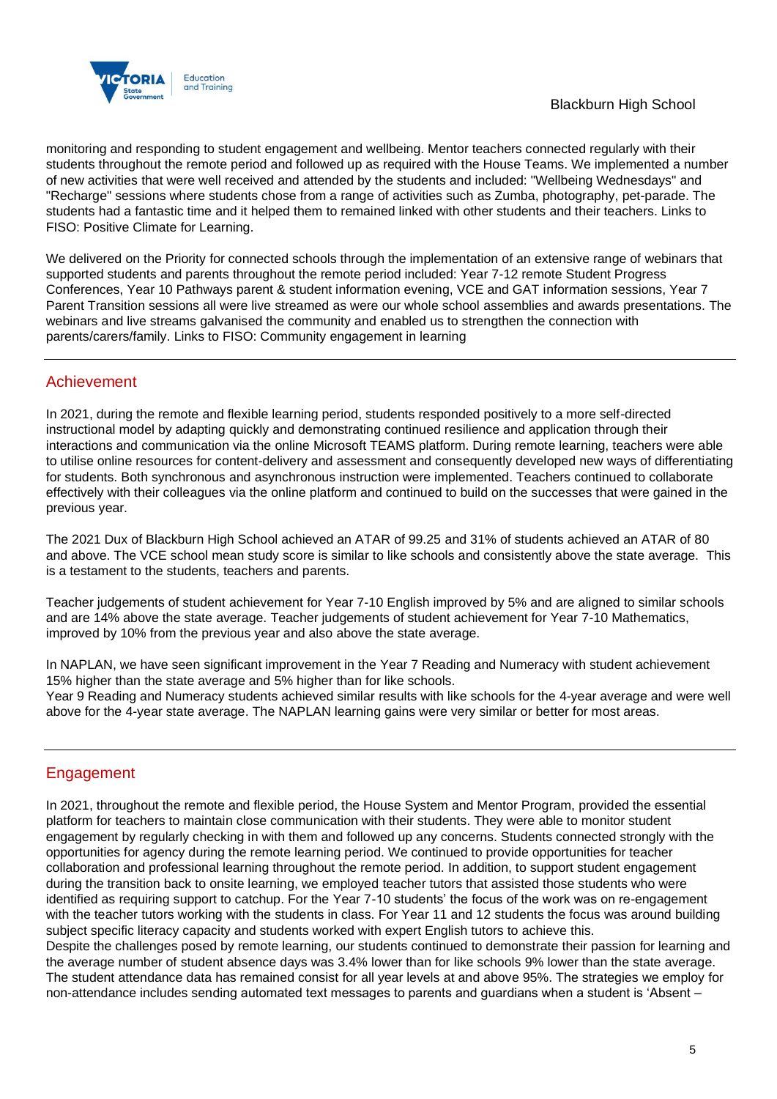

monitoring and responding to student engagement and wellbeing. Mentor teachers connected regularly with their students throughout the remote period and followed up as required with the House Teams. We implemented a number of new activities that were well received and attended by the students and included: "Wellbeing Wednesdays" and "Recharge" sessions where students chose from a range of activities such as Zumba, photography, pet-parade. The students had a fantastic time and it helped them to remained linked with other students and their teachers. Links to FISO: Positive Climate for Learning.

We delivered on the Priority for connected schools through the implementation of an extensive range of webinars that supported students and parents throughout the remote period included: Year 7-12 remote Student Progress Conferences, Year 10 Pathways parent & student information evening, VCE and GAT information sessions, Year 7 Parent Transition sessions all were live streamed as were our whole school assemblies and awards presentations. The webinars and live streams galvanised the community and enabled us to strengthen the connection with parents/carers/family. Links to FISO: Community engagement in learning

## Achievement

In 2021, during the remote and flexible learning period, students responded positively to a more self-directed instructional model by adapting quickly and demonstrating continued resilience and application through their interactions and communication via the online Microsoft TEAMS platform. During remote learning, teachers were able to utilise online resources for content-delivery and assessment and consequently developed new ways of differentiating for students. Both synchronous and asynchronous instruction were implemented. Teachers continued to collaborate effectively with their colleagues via the online platform and continued to build on the successes that were gained in the previous year.

The 2021 Dux of Blackburn High School achieved an ATAR of 99.25 and 31% of students achieved an ATAR of 80 and above. The VCE school mean study score is similar to like schools and consistently above the state average. This is a testament to the students, teachers and parents.

Teacher judgements of student achievement for Year 7-10 English improved by 5% and are aligned to similar schools and are 14% above the state average. Teacher judgements of student achievement for Year 7-10 Mathematics, improved by 10% from the previous year and also above the state average.

In NAPLAN, we have seen significant improvement in the Year 7 Reading and Numeracy with student achievement 15% higher than the state average and 5% higher than for like schools. Year 9 Reading and Numeracy students achieved similar results with like schools for the 4-year average and were well above for the 4-year state average. The NAPLAN learning gains were very similar or better for most areas.

## Engagement

In 2021, throughout the remote and flexible period, the House System and Mentor Program, provided the essential platform for teachers to maintain close communication with their students. They were able to monitor student engagement by regularly checking in with them and followed up any concerns. Students connected strongly with the opportunities for agency during the remote learning period. We continued to provide opportunities for teacher collaboration and professional learning throughout the remote period. In addition, to support student engagement during the transition back to onsite learning, we employed teacher tutors that assisted those students who were identified as requiring support to catchup. For the Year 7-10 students' the focus of the work was on re-engagement with the teacher tutors working with the students in class. For Year 11 and 12 students the focus was around building subject specific literacy capacity and students worked with expert English tutors to achieve this.

Despite the challenges posed by remote learning, our students continued to demonstrate their passion for learning and the average number of student absence days was 3.4% lower than for like schools 9% lower than the state average. The student attendance data has remained consist for all year levels at and above 95%. The strategies we employ for non-attendance includes sending automated text messages to parents and guardians when a student is 'Absent –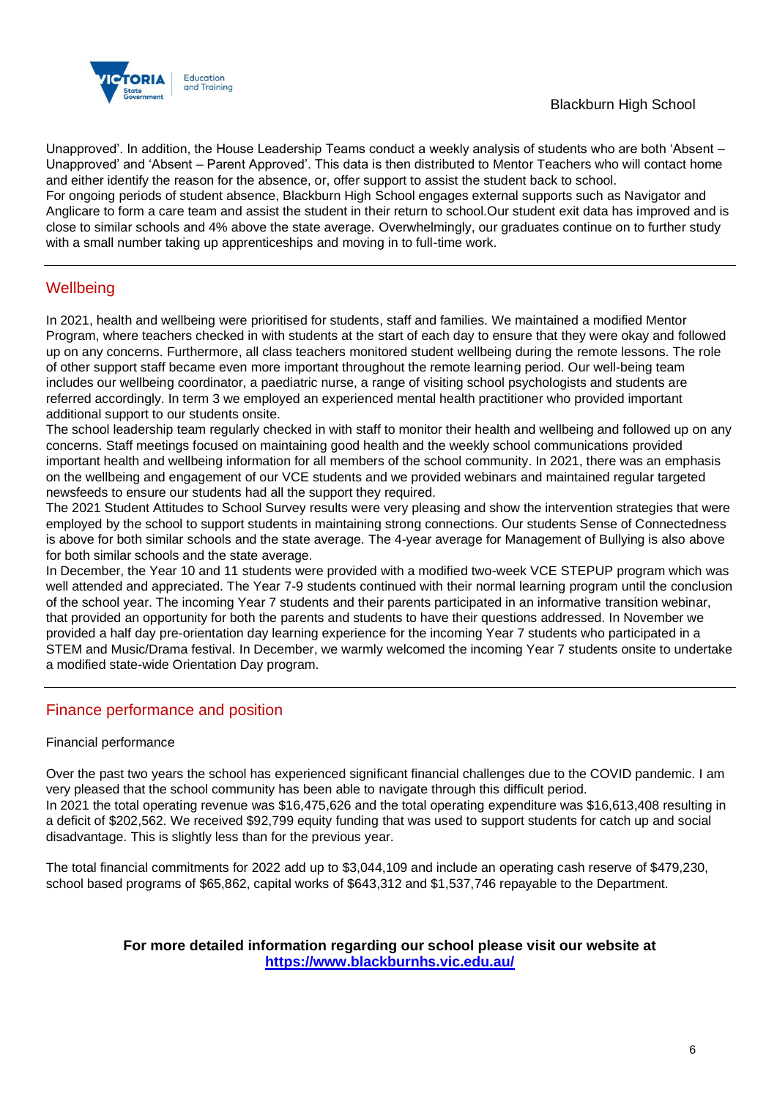

Unapproved'. In addition, the House Leadership Teams conduct a weekly analysis of students who are both 'Absent – Unapproved' and 'Absent – Parent Approved'. This data is then distributed to Mentor Teachers who will contact home and either identify the reason for the absence, or, offer support to assist the student back to school. For ongoing periods of student absence, Blackburn High School engages external supports such as Navigator and Anglicare to form a care team and assist the student in their return to school.Our student exit data has improved and is close to similar schools and 4% above the state average. Overwhelmingly, our graduates continue on to further study with a small number taking up apprenticeships and moving in to full-time work.

## **Wellbeing**

In 2021, health and wellbeing were prioritised for students, staff and families. We maintained a modified Mentor Program, where teachers checked in with students at the start of each day to ensure that they were okay and followed up on any concerns. Furthermore, all class teachers monitored student wellbeing during the remote lessons. The role of other support staff became even more important throughout the remote learning period. Our well-being team includes our wellbeing coordinator, a paediatric nurse, a range of visiting school psychologists and students are referred accordingly. In term 3 we employed an experienced mental health practitioner who provided important additional support to our students onsite.

The school leadership team regularly checked in with staff to monitor their health and wellbeing and followed up on any concerns. Staff meetings focused on maintaining good health and the weekly school communications provided important health and wellbeing information for all members of the school community. In 2021, there was an emphasis on the wellbeing and engagement of our VCE students and we provided webinars and maintained regular targeted newsfeeds to ensure our students had all the support they required.

The 2021 Student Attitudes to School Survey results were very pleasing and show the intervention strategies that were employed by the school to support students in maintaining strong connections. Our students Sense of Connectedness is above for both similar schools and the state average. The 4-year average for Management of Bullying is also above for both similar schools and the state average.

In December, the Year 10 and 11 students were provided with a modified two-week VCE STEPUP program which was well attended and appreciated. The Year 7-9 students continued with their normal learning program until the conclusion of the school year. The incoming Year 7 students and their parents participated in an informative transition webinar, that provided an opportunity for both the parents and students to have their questions addressed. In November we provided a half day pre-orientation day learning experience for the incoming Year 7 students who participated in a STEM and Music/Drama festival. In December, we warmly welcomed the incoming Year 7 students onsite to undertake a modified state-wide Orientation Day program.

## Finance performance and position

#### Financial performance

Over the past two years the school has experienced significant financial challenges due to the COVID pandemic. I am very pleased that the school community has been able to navigate through this difficult period. In 2021 the total operating revenue was \$16,475,626 and the total operating expenditure was \$16,613,408 resulting in a deficit of \$202,562. We received \$92,799 equity funding that was used to support students for catch up and social disadvantage. This is slightly less than for the previous year.

The total financial commitments for 2022 add up to \$3,044,109 and include an operating cash reserve of \$479,230, school based programs of \$65,862, capital works of \$643,312 and \$1,537,746 repayable to the Department.

#### **For more detailed information regarding our school please visit our website at <https://www.blackburnhs.vic.edu.au/>**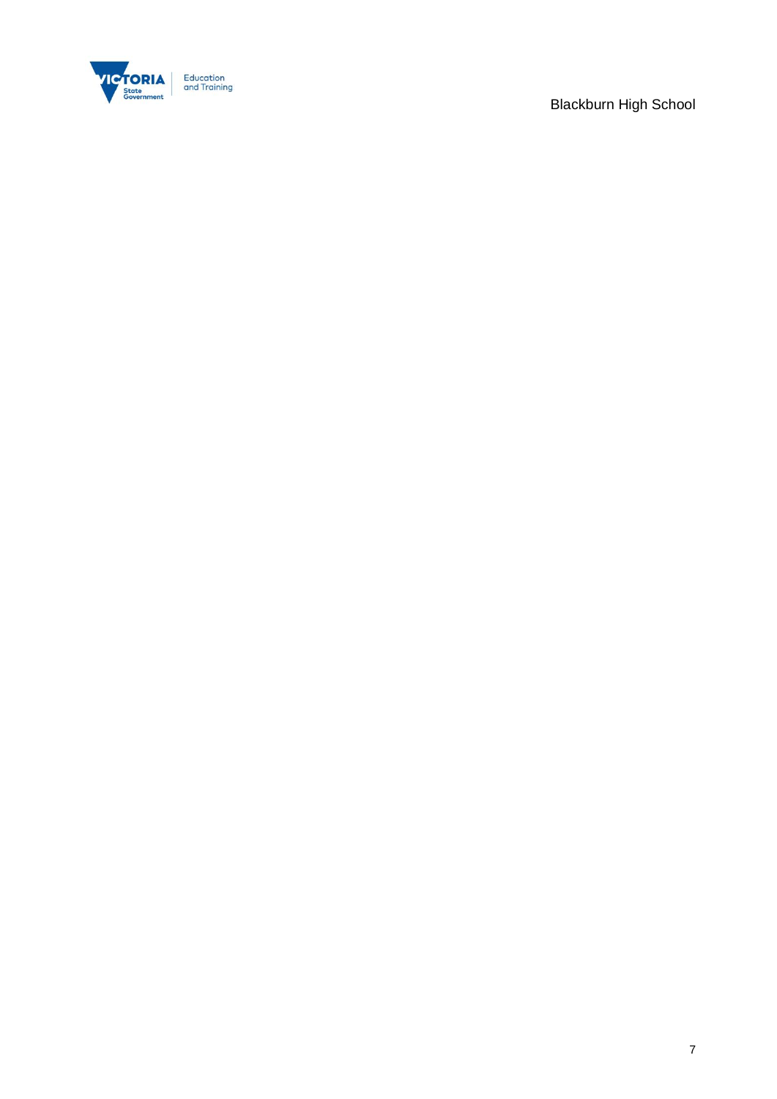

Blackburn High School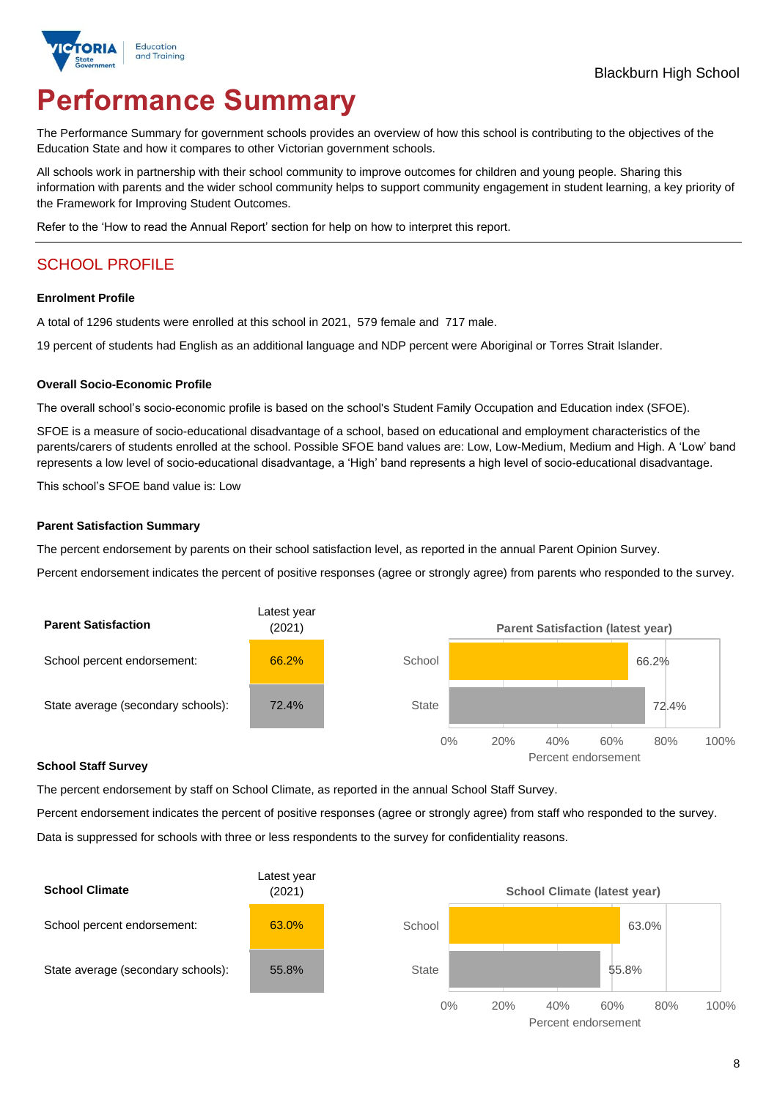

# **Performance Summary**

The Performance Summary for government schools provides an overview of how this school is contributing to the objectives of the Education State and how it compares to other Victorian government schools.

All schools work in partnership with their school community to improve outcomes for children and young people. Sharing this information with parents and the wider school community helps to support community engagement in student learning, a key priority of the Framework for Improving Student Outcomes.

Refer to the 'How to read the Annual Report' section for help on how to interpret this report.

## SCHOOL PROFILE

#### **Enrolment Profile**

A total of 1296 students were enrolled at this school in 2021, 579 female and 717 male.

19 percent of students had English as an additional language and NDP percent were Aboriginal or Torres Strait Islander.

#### **Overall Socio-Economic Profile**

The overall school's socio-economic profile is based on the school's Student Family Occupation and Education index (SFOE).

SFOE is a measure of socio-educational disadvantage of a school, based on educational and employment characteristics of the parents/carers of students enrolled at the school. Possible SFOE band values are: Low, Low-Medium, Medium and High. A 'Low' band represents a low level of socio-educational disadvantage, a 'High' band represents a high level of socio-educational disadvantage.

This school's SFOE band value is: Low

#### **Parent Satisfaction Summary**

The percent endorsement by parents on their school satisfaction level, as reported in the annual Parent Opinion Survey.

Percent endorsement indicates the percent of positive responses (agree or strongly agree) from parents who responded to the survey.



#### **School Staff Survey**

The percent endorsement by staff on School Climate, as reported in the annual School Staff Survey.

Percent endorsement indicates the percent of positive responses (agree or strongly agree) from staff who responded to the survey.

Data is suppressed for schools with three or less respondents to the survey for confidentiality reasons.

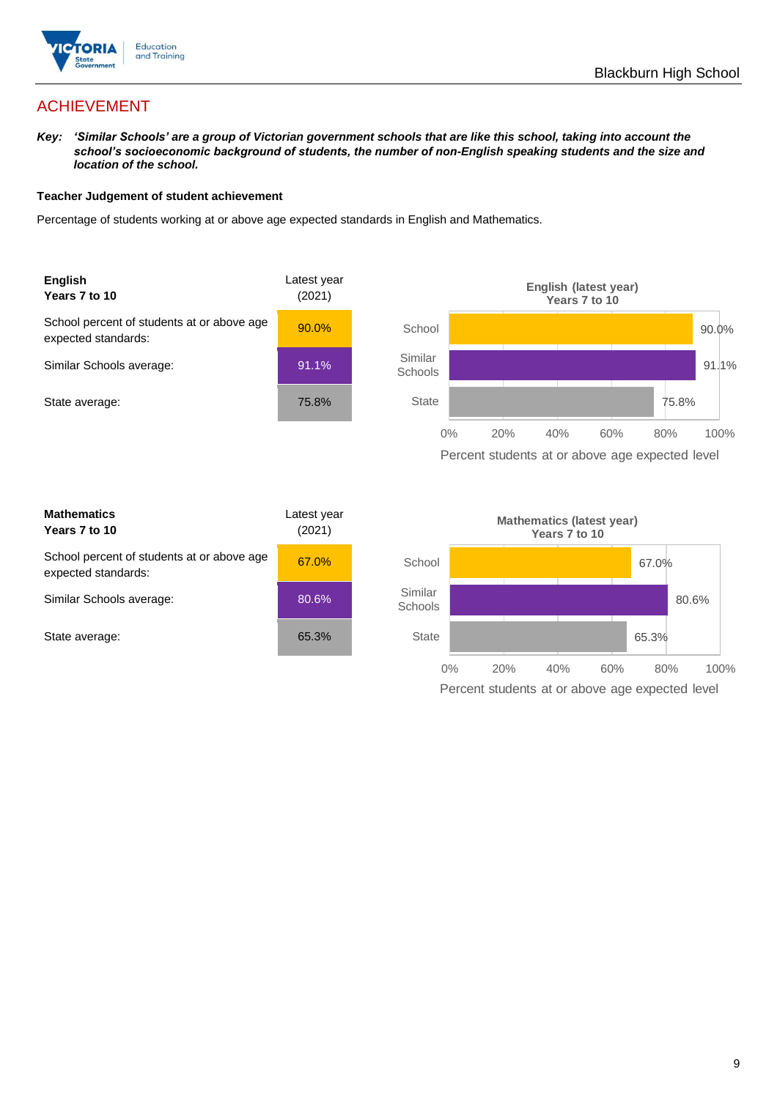

## ACHIEVEMENT

*Key: 'Similar Schools' are a group of Victorian government schools that are like this school, taking into account the school's socioeconomic background of students, the number of non-English speaking students and the size and location of the school.*

#### **Teacher Judgement of student achievement**

Percentage of students working at or above age expected standards in English and Mathematics.



| <b>Mathematics</b><br>Years 7 to 10                               | Latest year<br>(2021) |  |
|-------------------------------------------------------------------|-----------------------|--|
| School percent of students at or above age<br>expected standards: | 67.0%                 |  |
| Similar Schools average:                                          | 80.6%                 |  |
| State average:                                                    | 65.3%                 |  |

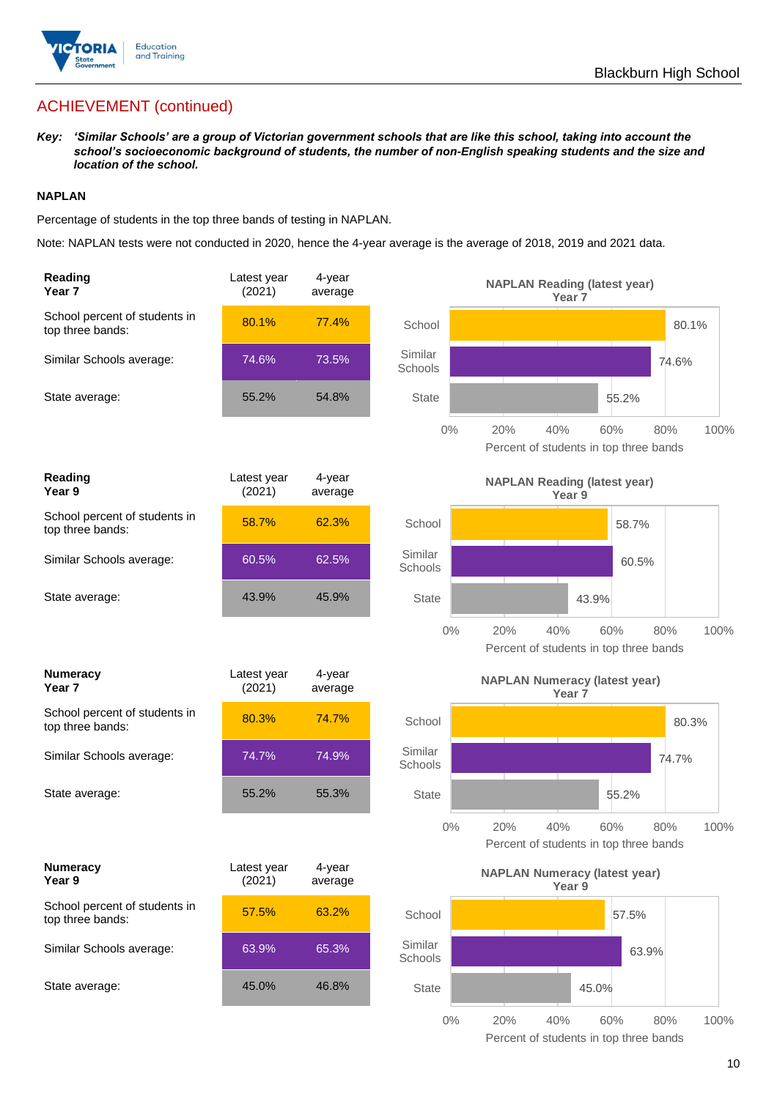

## ACHIEVEMENT (continued)

*Key: 'Similar Schools' are a group of Victorian government schools that are like this school, taking into account the school's socioeconomic background of students, the number of non-English speaking students and the size and location of the school.*

#### **NAPLAN**

Percentage of students in the top three bands of testing in NAPLAN.

Note: NAPLAN tests were not conducted in 2020, hence the 4-year average is the average of 2018, 2019 and 2021 data.

| Reading<br>Year 7                                 | Latest year<br>(2021) | 4-year<br>average |                    | <b>NAPLAN Reading (latest year)</b><br>Year <sub>7</sub>  |                    |
|---------------------------------------------------|-----------------------|-------------------|--------------------|-----------------------------------------------------------|--------------------|
| School percent of students in<br>top three bands: | 80.1%                 | 77.4%             | School             |                                                           | 80.1%              |
| Similar Schools average:                          | 74.6%                 | 73.5%             | Similar<br>Schools |                                                           | 74.6%              |
| State average:                                    | 55.2%                 | 54.8%             | <b>State</b>       |                                                           | 55.2%              |
|                                                   |                       |                   | $0\%$              | 40%<br>20%<br>Percent of students in top three bands      | 60%<br>80%<br>100% |
| Reading<br>Year 9                                 | Latest year<br>(2021) | 4-year<br>average |                    | <b>NAPLAN Reading (latest year)</b><br>Year 9             |                    |
| School percent of students in<br>top three bands: | 58.7%                 | 62.3%             | School             |                                                           | 58.7%              |
| Similar Schools average:                          | 60.5%                 | 62.5%             | Similar<br>Schools |                                                           | 60.5%              |
| State average:                                    | 43.9%                 | 45.9%             | <b>State</b>       |                                                           | 43.9%              |
|                                                   |                       |                   | $0\%$              | 20%<br>40%<br>Percent of students in top three bands      | 100%<br>60%<br>80% |
| <b>Numeracy</b><br>Year 7                         | Latest year<br>(2021) | 4-year<br>average |                    | <b>NAPLAN Numeracy (latest year)</b><br>Year <sub>7</sub> |                    |
| School percent of students in<br>top three bands: | 80.3%                 | 74.7%             | School             |                                                           | 80.3%              |
| Similar Schools average:                          | 74.7%                 | 74.9%             | Similar<br>Schools |                                                           | 74.7%              |
| State average:                                    | 55.2%                 | 55.3%             | <b>State</b>       |                                                           | 55.2%              |
|                                                   |                       |                   | $0\%$              | 20%<br>40%<br>Percent of students in top three bands      | 100%<br>60%<br>80% |
| <b>Numeracy</b><br>Year 9                         | Latest year<br>(2021) | 4-year<br>average |                    | <b>NAPLAN Numeracy (latest year)</b><br>Year 9            |                    |
| School percent of students in<br>top three bands: | 57.5%                 | 63.2%             | School             |                                                           | 57.5%              |
| Similar Schools average:                          | 63.9%                 | 65.3%             | Similar<br>Schools |                                                           | 63.9%              |
| State average:                                    | 45.0%                 | 46.8%             | <b>State</b>       |                                                           | 45.0%              |
|                                                   |                       |                   | $0\%$              | 20%<br>40%                                                | 80%<br>60%<br>100% |

Percent of students in top three bands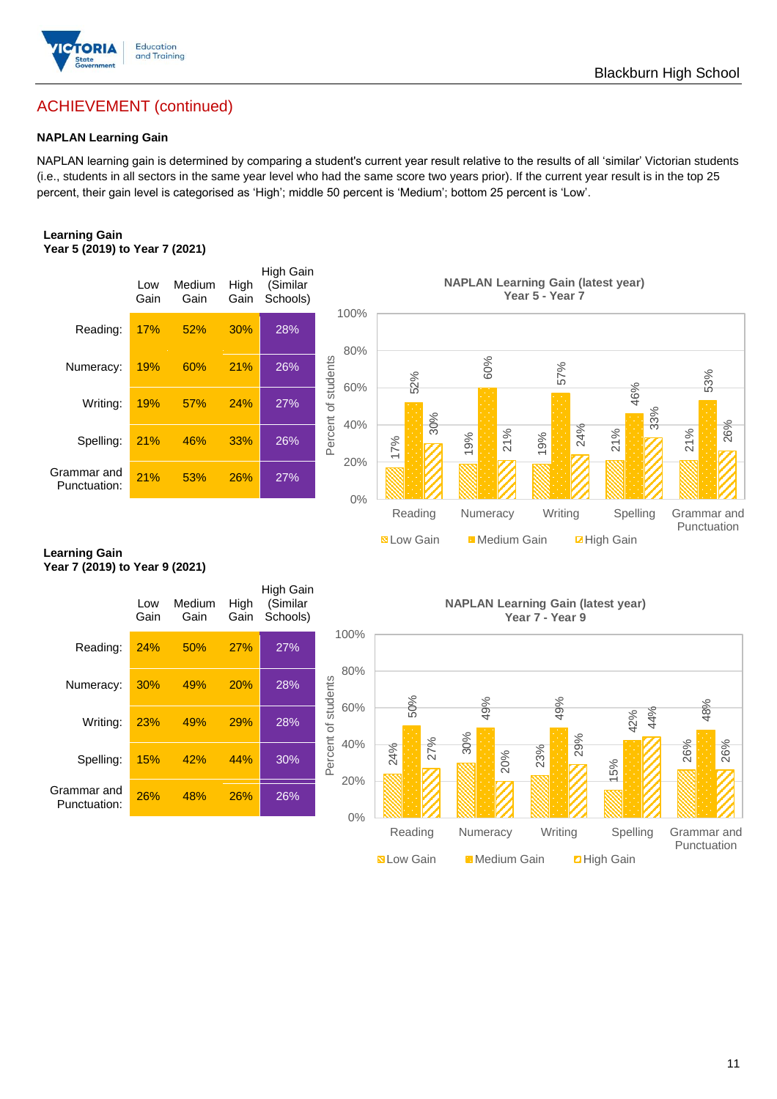

## ACHIEVEMENT (continued)

#### **NAPLAN Learning Gain**

NAPLAN learning gain is determined by comparing a student's current year result relative to the results of all 'similar' Victorian students (i.e., students in all sectors in the same year level who had the same score two years prior). If the current year result is in the top 25 percent, their gain level is categorised as 'High'; middle 50 percent is 'Medium'; bottom 25 percent is 'Low'.

#### **Learning Gain Year 5 (2019) to Year 7 (2021)**



#### **Learning Gain Year 7 (2019) to Year 9 (2021)**

| Spelling:                                       | 21%         | 46%            | 33%          | 26%                               | Perce                      | ო<br>17%          | 21%<br>19%                                | 24°<br>19%      | 21%                | 21%<br>26                  |
|-------------------------------------------------|-------------|----------------|--------------|-----------------------------------|----------------------------|-------------------|-------------------------------------------|-----------------|--------------------|----------------------------|
| Grammar and<br>Punctuation:                     | 21%         | 53%            | 26%          | 27%                               | 20%<br>$0\%$               |                   |                                           |                 |                    |                            |
|                                                 |             |                |              |                                   |                            | Reading           | Numeracy                                  | Writing         | Spelling           | Grammar and<br>Punctuation |
| earning Gain.<br>'ear 7 (2019) to Year 9 (2021) |             |                |              |                                   |                            | <b>N</b> Low Gain | Medium Gain                               |                 | <b>Z</b> High Gain |                            |
|                                                 | Low<br>Gain | Medium<br>Gain | High<br>Gain | High Gain<br>(Similar<br>Schools) |                            |                   | <b>NAPLAN Learning Gain (latest year)</b> | Year 7 - Year 9 |                    |                            |
| Reading:                                        | 24%         | 50%            | 27%          | 27%                               | 100%                       |                   |                                           |                 |                    |                            |
| Numeracy:                                       | 30%         | 49%            | 20%          | 28%                               | 80%                        |                   |                                           |                 |                    |                            |
| Writing:                                        | 23%         | 49%            | 29%          | 28%                               | Percent of students<br>60% | 50%               | 49%                                       | 49%             | 44%<br>42%         | 48%                        |
| Spelling:                                       | 15%         | 42%            | 44%          | 30%                               | 40%                        | 27%<br>24%        | 30%<br>20%                                | 29%<br>23%      | 15%                | 26%<br>26%                 |
| Grammar and<br>Punctuation:                     | 26%         | 48%            | 26%          | 26%                               | 20%<br>$0\%$               |                   |                                           |                 |                    |                            |
|                                                 |             |                |              |                                   |                            | Reading           | Numeracy                                  | Writing         | Spelling           | Grammar and<br>Punctuation |
|                                                 |             |                |              |                                   |                            | <b>N</b> Low Gain | Medium Gain                               |                 | <b>D</b> High Gain |                            |

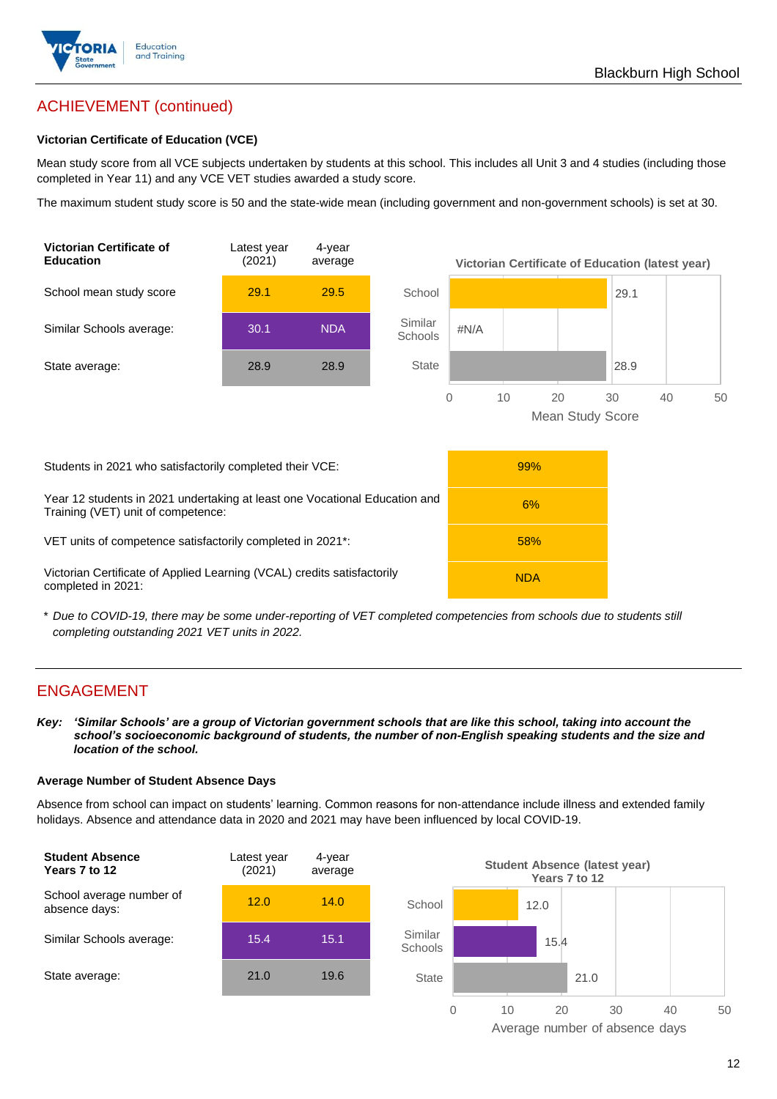

## ACHIEVEMENT (continued)

#### **Victorian Certificate of Education (VCE)**

Mean study score from all VCE subjects undertaken by students at this school. This includes all Unit 3 and 4 studies (including those completed in Year 11) and any VCE VET studies awarded a study score.

The maximum student study score is 50 and the state-wide mean (including government and non-government schools) is set at 30.



\* *Due to COVID-19, there may be some under-reporting of VET completed competencies from schools due to students still completing outstanding 2021 VET units in 2022.*

### ENGAGEMENT

*Key: 'Similar Schools' are a group of Victorian government schools that are like this school, taking into account the school's socioeconomic background of students, the number of non-English speaking students and the size and location of the school.*

#### **Average Number of Student Absence Days**

Absence from school can impact on students' learning. Common reasons for non-attendance include illness and extended family holidays. Absence and attendance data in 2020 and 2021 may have been influenced by local COVID-19.



Average number of absence days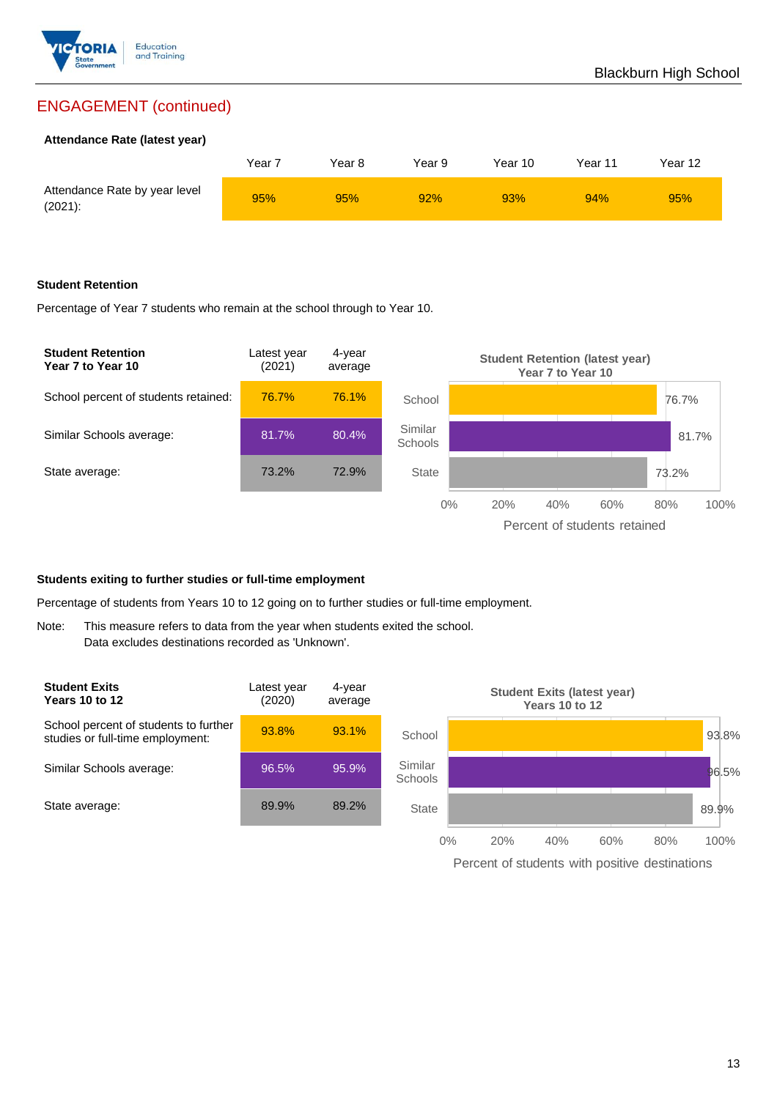

## ENGAGEMENT (continued)

#### **Attendance Rate (latest year)**

|                                             | Year 7 | Year 8 | Year 9 | Year 10 | Year 11 | Year 12 |
|---------------------------------------------|--------|--------|--------|---------|---------|---------|
| Attendance Rate by year level<br>$(2021)$ : | 95%    | 95%    | 92%    | 93%     | 94%     | 95%     |

#### **Student Retention**

Percentage of Year 7 students who remain at the school through to Year 10.



#### **Students exiting to further studies or full-time employment**

Percentage of students from Years 10 to 12 going on to further studies or full-time employment.

Note: This measure refers to data from the year when students exited the school. Data excludes destinations recorded as 'Unknown'.

| <b>Student Exits</b><br><b>Years 10 to 12</b>                             | Latest year<br>(2020) | 4-year<br>average |                           | <b>Student Exits (latest year)</b> | Years 10 to 12 |     |     |       |
|---------------------------------------------------------------------------|-----------------------|-------------------|---------------------------|------------------------------------|----------------|-----|-----|-------|
| School percent of students to further<br>studies or full-time employment: | 93.8%                 | 93.1%             | School                    |                                    |                |     |     | 93.8% |
| Similar Schools average:                                                  | 96.5%                 | 95.9%             | Similar<br><b>Schools</b> |                                    |                |     |     | 96.5% |
| State average:                                                            | 89.9%                 | 89.2%             | <b>State</b>              |                                    |                |     |     | 89.9% |
|                                                                           |                       |                   | $0\%$                     | 20%                                | 40%            | 60% | 80% | 100%  |

Percent of students with positive destinations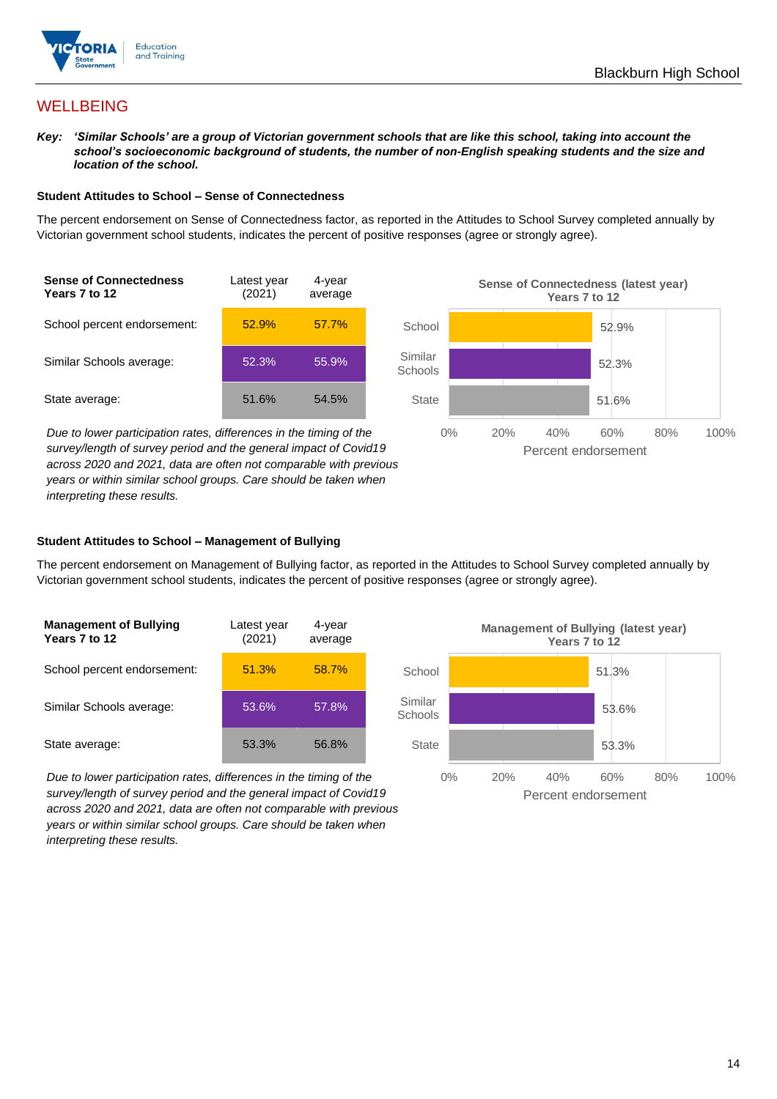

## **WELLBEING**

*Key: 'Similar Schools' are a group of Victorian government schools that are like this school, taking into account the school's socioeconomic background of students, the number of non-English speaking students and the size and location of the school.*

#### **Student Attitudes to School – Sense of Connectedness**

The percent endorsement on Sense of Connectedness factor, as reported in the Attitudes to School Survey completed annually by Victorian government school students, indicates the percent of positive responses (agree or strongly agree).



*Due to lower participation rates, differences in the timing of the survey/length of survey period and the general impact of Covid19 across 2020 and 2021, data are often not comparable with previous years or within similar school groups. Care should be taken when interpreting these results.*



#### **Student Attitudes to School – Management of Bullying**

The percent endorsement on Management of Bullying factor, as reported in the Attitudes to School Survey completed annually by Victorian government school students, indicates the percent of positive responses (agree or strongly agree).

| <b>Management of Bullying</b><br>Years 7 to 12 | Latest year<br>4-year<br>(2021)<br>average |       |  |
|------------------------------------------------|--------------------------------------------|-------|--|
| School percent endorsement:                    | 51.3%                                      | 58.7% |  |
| Similar Schools average:                       | 53.6%                                      | 57.8% |  |
| State average:                                 | 53.3%                                      | 56.8% |  |

*Due to lower participation rates, differences in the timing of the survey/length of survey period and the general impact of Covid19 across 2020 and 2021, data are often not comparable with previous years or within similar school groups. Care should be taken when interpreting these results.*

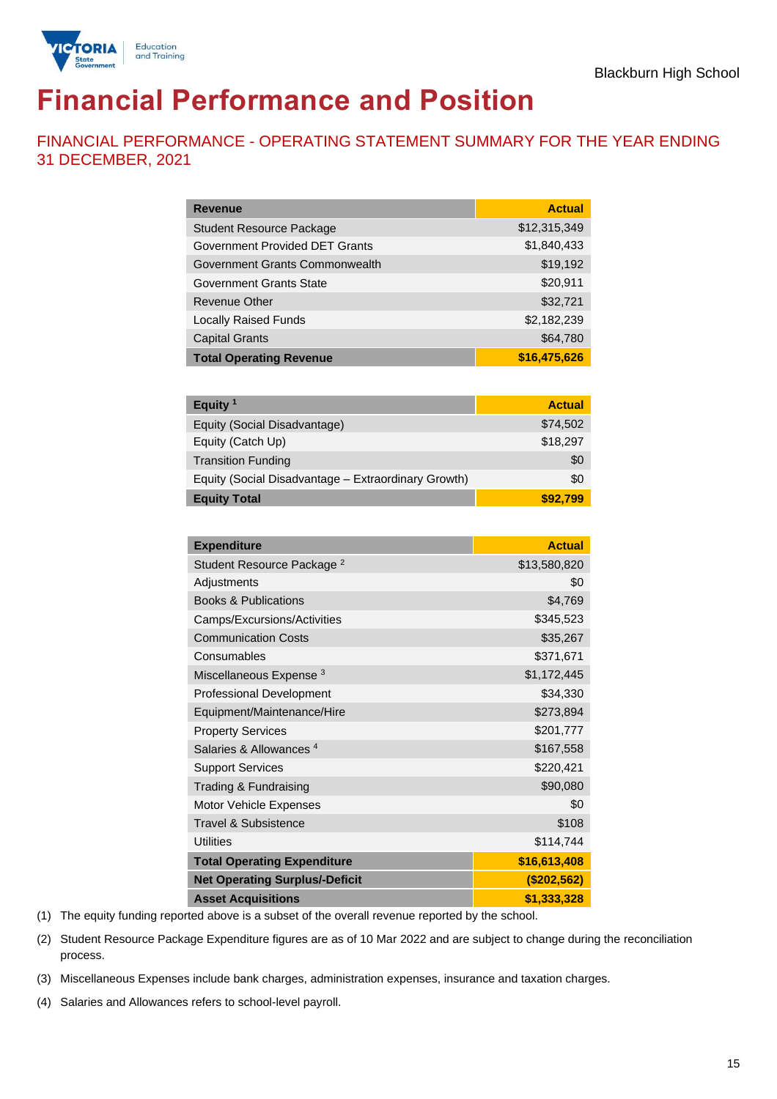

# **Financial Performance and Position**

FINANCIAL PERFORMANCE - OPERATING STATEMENT SUMMARY FOR THE YEAR ENDING 31 DECEMBER, 2021

| <b>Revenue</b>                  | <b>Actual</b> |
|---------------------------------|---------------|
| <b>Student Resource Package</b> | \$12,315,349  |
| Government Provided DET Grants  | \$1,840,433   |
| Government Grants Commonwealth  | \$19,192      |
| Government Grants State         | \$20,911      |
| <b>Revenue Other</b>            | \$32,721      |
| <b>Locally Raised Funds</b>     | \$2,182,239   |
| <b>Capital Grants</b>           | \$64,780      |
| <b>Total Operating Revenue</b>  | \$16,475,626  |

| Equity <sup>1</sup>                                 | <b>Actual</b> |
|-----------------------------------------------------|---------------|
| Equity (Social Disadvantage)                        | \$74,502      |
| Equity (Catch Up)                                   | \$18,297      |
| <b>Transition Funding</b>                           | \$0           |
| Equity (Social Disadvantage - Extraordinary Growth) | \$0           |
| <b>Equity Total</b>                                 | \$92,799      |

| <b>Expenditure</b>                    | <b>Actual</b> |
|---------------------------------------|---------------|
| Student Resource Package <sup>2</sup> | \$13,580,820  |
| Adjustments                           | \$0           |
| <b>Books &amp; Publications</b>       | \$4,769       |
| Camps/Excursions/Activities           | \$345,523     |
| <b>Communication Costs</b>            | \$35,267      |
| Consumables                           | \$371,671     |
| Miscellaneous Expense <sup>3</sup>    | \$1,172,445   |
| <b>Professional Development</b>       | \$34,330      |
| Equipment/Maintenance/Hire            | \$273,894     |
| <b>Property Services</b>              | \$201,777     |
| Salaries & Allowances <sup>4</sup>    | \$167,558     |
| <b>Support Services</b>               | \$220,421     |
| Trading & Fundraising                 | \$90,080      |
| Motor Vehicle Expenses                | \$0           |
| <b>Travel &amp; Subsistence</b>       | \$108         |
| <b>Utilities</b>                      | \$114,744     |
| <b>Total Operating Expenditure</b>    | \$16,613,408  |
| <b>Net Operating Surplus/-Deficit</b> | (\$202,562)   |
| <b>Asset Acquisitions</b>             | \$1,333,328   |

(1) The equity funding reported above is a subset of the overall revenue reported by the school.

(2) Student Resource Package Expenditure figures are as of 10 Mar 2022 and are subject to change during the reconciliation process.

(3) Miscellaneous Expenses include bank charges, administration expenses, insurance and taxation charges.

(4) Salaries and Allowances refers to school-level payroll.